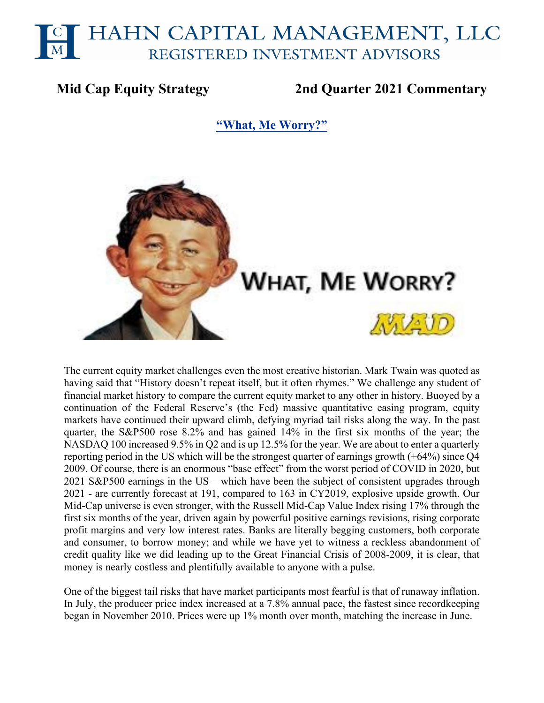# HAHN CAPITAL MANAGEMENT, LLC REGISTERED INVESTMENT ADVISORS

# **Mid Cap Equity Strategy 2nd Quarter 2021 Commentary**

**"What, Me Worry?"**



The current equity market challenges even the most creative historian. Mark Twain was quoted as having said that "History doesn't repeat itself, but it often rhymes." We challenge any student of financial market history to compare the current equity market to any other in history. Buoyed by a continuation of the Federal Reserve's (the Fed) massive quantitative easing program, equity markets have continued their upward climb, defying myriad tail risks along the way. In the past quarter, the S&P500 rose 8.2% and has gained 14% in the first six months of the year; the NASDAQ 100 increased 9.5% in Q2 and is up 12.5% for the year. We are about to enter a quarterly reporting period in the US which will be the strongest quarter of earnings growth (+64%) since Q4 2009. Of course, there is an enormous "base effect" from the worst period of COVID in 2020, but 2021 S&P500 earnings in the US – which have been the subject of consistent upgrades through 2021 - are currently forecast at 191, compared to 163 in CY2019, explosive upside growth. Our Mid-Cap universe is even stronger, with the Russell Mid-Cap Value Index rising 17% through the first six months of the year, driven again by powerful positive earnings revisions, rising corporate profit margins and very low interest rates. Banks are literally begging customers, both corporate and consumer, to borrow money; and while we have yet to witness a reckless abandonment of credit quality like we did leading up to the Great Financial Crisis of 2008-2009, it is clear, that money is nearly costless and plentifully available to anyone with a pulse.

One of the biggest tail risks that have market participants most fearful is that of runaway inflation. In July, the producer price index increased at a 7.8% annual pace, the fastest since recordkeeping began in November 2010. Prices were up 1% month over month, matching the increase in June.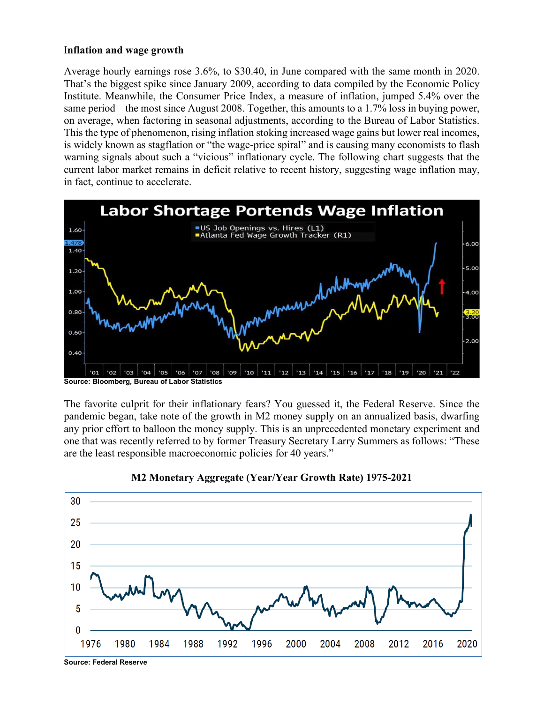#### I**nflation and wage growth**

Average hourly earnings rose 3.6%, to \$30.40, in June compared with the same month in 2020. That's the biggest spike since January 2009, according to data compiled by the Economic Policy Institute. Meanwhile, the Consumer Price Index, a measure of inflation, jumped 5.4% over the same period – the most since August 2008. Together, this amounts to a 1.7% loss in buying power, on average, when factoring in seasonal adjustments, according to the Bureau of Labor Statistics. This the type of phenomenon, rising inflation stoking increased wage gains but lower real incomes, is widely known as stagflation or "the wage-price spiral" and is causing many economists to flash warning signals about such a "vicious" inflationary cycle. The following chart suggests that the current labor market remains in deficit relative to recent history, suggesting wage inflation may, in fact, continue to accelerate.



The favorite culprit for their inflationary fears? You guessed it, the Federal Reserve. Since the pandemic began, take note of the growth in M2 money supply on an annualized basis, dwarfing any prior effort to balloon the money supply. This is an unprecedented monetary experiment and one that was recently referred to by former Treasury Secretary Larry Summers as follows: "These are the least responsible macroeconomic policies for 40 years."



# **M2 Monetary Aggregate (Year/Year Growth Rate) 1975-2021**

**Source: Federal Reserve**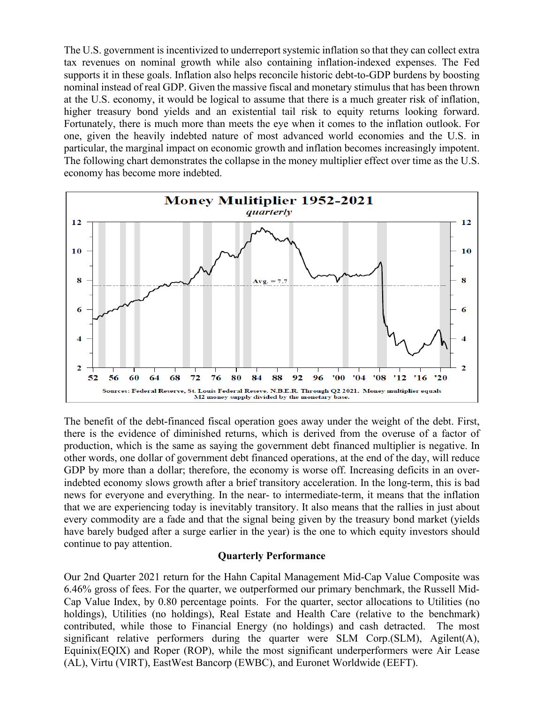The U.S. government is incentivized to underreport systemic inflation so that they can collect extra tax revenues on nominal growth while also containing inflation-indexed expenses. The Fed supports it in these goals. Inflation also helps reconcile historic debt-to-GDP burdens by boosting nominal instead of real GDP. Given the massive fiscal and monetary stimulus that has been thrown at the U.S. economy, it would be logical to assume that there is a much greater risk of inflation, higher treasury bond yields and an existential tail risk to equity returns looking forward. Fortunately, there is much more than meets the eye when it comes to the inflation outlook. For one, given the heavily indebted nature of most advanced world economies and the U.S. in particular, the marginal impact on economic growth and inflation becomes increasingly impotent. The following chart demonstrates the collapse in the money multiplier effect over time as the U.S. economy has become more indebted.



The benefit of the debt-financed fiscal operation goes away under the weight of the debt. First, there is the evidence of diminished returns, which is derived from the overuse of a factor of production, which is the same as saying the government debt financed multiplier is negative. In other words, one dollar of government debt financed operations, at the end of the day, will reduce GDP by more than a dollar; therefore, the economy is worse off. Increasing deficits in an overindebted economy slows growth after a brief transitory acceleration. In the long-term, this is bad news for everyone and everything. In the near- to intermediate-term, it means that the inflation that we are experiencing today is inevitably transitory. It also means that the rallies in just about every commodity are a fade and that the signal being given by the treasury bond market (yields have barely budged after a surge earlier in the year) is the one to which equity investors should continue to pay attention.

#### **Quarterly Performance**

Our 2nd Quarter 2021 return for the Hahn Capital Management Mid-Cap Value Composite was 6.46% gross of fees. For the quarter, we outperformed our primary benchmark, the Russell Mid-Cap Value Index, by 0.80 percentage points. For the quarter, sector allocations to Utilities (no holdings), Utilities (no holdings), Real Estate and Health Care (relative to the benchmark) contributed, while those to Financial Energy (no holdings) and cash detracted. The most significant relative performers during the quarter were SLM Corp.(SLM), Agilent(A), Equinix(EQIX) and Roper (ROP), while the most significant underperformers were Air Lease (AL), Virtu (VIRT), EastWest Bancorp (EWBC), and Euronet Worldwide (EEFT).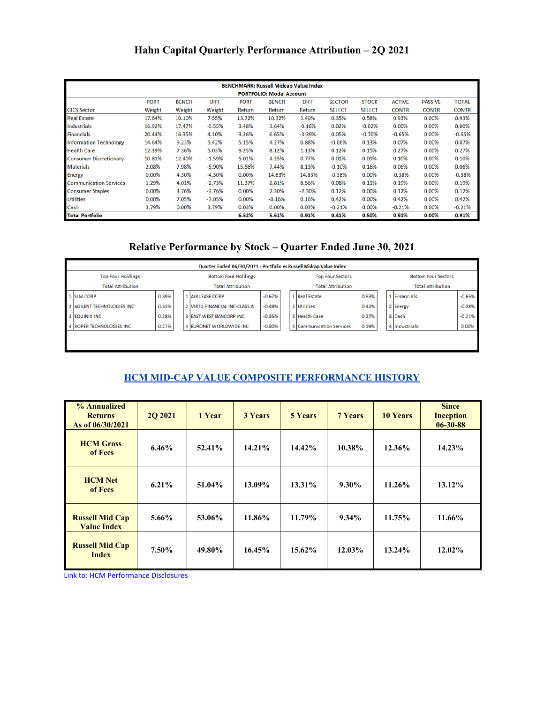# **Hahn Capital Quarterly Performance Attribution – 2Q 2021**

| <b>BENCHMARK: Russell Midcap Value Index</b> |                                                                                                                                                              |        |          |        |          |           |               |               |              |              |              |  |
|----------------------------------------------|--------------------------------------------------------------------------------------------------------------------------------------------------------------|--------|----------|--------|----------|-----------|---------------|---------------|--------------|--------------|--------------|--|
| <b>PORTFOLIO: Model Account</b>              |                                                                                                                                                              |        |          |        |          |           |               |               |              |              |              |  |
|                                              | <b>PORT</b><br><b>BENCH</b><br><b>DIFF</b><br><b>BENCH</b><br><b>DIFF</b><br><b>SECTOR</b><br><b>STOCK</b><br><b>ACTIVE</b><br><b>PORT</b><br><b>PASSIVE</b> |        |          |        |          |           |               |               |              |              | <b>TOTAL</b> |  |
| <b>GICS Sector</b>                           | Weight                                                                                                                                                       | Weight | Weight   | Return | Return   | Return    | <b>SELECT</b> | <b>SELECT</b> | <b>CONTR</b> | <b>CONTR</b> | <b>CONTR</b> |  |
| <b>Real Estate</b>                           | 17.64%                                                                                                                                                       | 10.10% | 7.55%    | 13.72% | 10.32%   | 3.40%     | 0.35%         | 0.58%         | 0.93%        | 0.00%        | 0.93%        |  |
| <b>Industrials</b>                           | 16.92%                                                                                                                                                       | 17.47% | $-0.55%$ | 3.48%  | 3.64%    | $-0.16%$  | 0.02%         | $-0.02%$      | 0.00%        | 0.00%        | 0.00%        |  |
| <b>Financials</b>                            | 20.44%                                                                                                                                                       | 16.35% | 4.10%    | 3.26%  | 6.65%    | $-3.39%$  | 0.05%         | $-0.70%$      | $-0.65%$     | 0.00%        | $-0.65%$     |  |
| <b>Information Technology</b>                | 14.64%                                                                                                                                                       | 9.23%  | 5.42%    | 5.15%  | 4.27%    | 0.88%     | $-0.06%$      | 0.13%         | 0.07%        | 0.00%        | 0.07%        |  |
| <b>Health Care</b>                           | 12.39%                                                                                                                                                       | 7.36%  | 5.03%    | 9.25%  | 8.12%    | 1.13%     | 0.12%         | 0.15%         | 0.27%        | 0.00%        | 0.27%        |  |
| <b>Consumer Discretionary</b>                | 10.81%                                                                                                                                                       | 12.40% | $-1.59%$ | 5.01%  | 4.25%    | 0.77%     | 0.01%         | 0.09%         | 0.10%        | 0.00%        | 0.10%        |  |
| <b>Materials</b>                             | 2.08%                                                                                                                                                        | 7.98%  | $-5.90%$ | 15.56% | 7.44%    | 8.13%     | $-0.10%$      | 0.16%         | 0.06%        | 0.00%        | 0.06%        |  |
| Energy                                       | 0.00%                                                                                                                                                        | 4.30%  | $-4.30%$ | 0.00%  | 14.83%   | $-14.83%$ | $-0.38%$      | 0.00%         | $-0.38%$     | 0.00%        | $-0.38%$     |  |
| <b>Communication Services</b>                | 1.29%                                                                                                                                                        | 4.01%  | $-2.73%$ | 11.37% | 2.81%    | 8.56%     | 0.08%         | 0.11%         | 0.19%        | 0.00%        | 0.19%        |  |
| <b>Consumer Staples</b>                      | 0.00%                                                                                                                                                        | 3.76%  | $-3.76%$ | 0.00%  | 2.30%    | $-2.30%$  | 0.12%         | 0.00%         | 0.12%        | 0.00%        | 0.12%        |  |
| <b>Utilities</b>                             | 0.00%                                                                                                                                                        | 7.05%  | $-7.05%$ | 0.00%  | $-0.16%$ | 0.16%     | 0.42%         | 0.00%         | 0.42%        | 0.00%        | 0.42%        |  |
| Cash                                         | 3.79%                                                                                                                                                        | 0.00%  | 3.79%    | 0.03%  | 0.00%    | 0.03%     | $-0.21%$      | 0.00%         | $-0.21%$     | 0.00%        | $-0.21%$     |  |
| <b>Total Portfolio</b>                       | 6.52%<br>5.61%<br>0.91%<br>0.41%<br>0.50%<br>0.00%<br>0.91%<br>0.91%                                                                                         |        |          |        |          |           |               |               |              |              |              |  |

# **Relative Performance by Stock – Quarter Ended June 30, 2021**

|                                                         | Quarter Ended 06/30/2021 - Portfolio vs Russell Midcap Value Index |       |  |                               |                          |  |                          |                          |                            |               |          |  |
|---------------------------------------------------------|--------------------------------------------------------------------|-------|--|-------------------------------|--------------------------|--|--------------------------|--------------------------|----------------------------|---------------|----------|--|
| <b>Top Four Holdings</b><br><b>Bottom Four Holdings</b> |                                                                    |       |  |                               | <b>Top Four Sectors</b>  |  |                          |                          | <b>Bottom Four Sectors</b> |               |          |  |
| <b>Total Attribution</b><br><b>Total Attribution</b>    |                                                                    |       |  |                               | <b>Total Attribution</b> |  |                          | <b>Total Attribution</b> |                            |               |          |  |
|                                                         | 1 SLM CORP                                                         | 0.39% |  | 1 AIR LEASE CORP              | $-0.67%$                 |  | 1 Real Estate            | 0.93%                    |                            | 1 Financials  | $-0.65%$ |  |
|                                                         | 2 AGILENT TECHNOLOGIES INC                                         | 0.33% |  | 2 VIRTU FINANCIAL INC-CLASS A | $-0.49%$                 |  | 2 Utilities              | 0.42%                    |                            | 2 Energy      | $-0.38%$ |  |
|                                                         | 3 EQUINIX INC                                                      | 0.28% |  | 3 EAST WEST BANCORP INC       | $-0.35%$                 |  | 3 Health Care            | 0.27%                    |                            | 3 Cash        | $-0.21%$ |  |
|                                                         | 4 ROPER TECHNOLOGIES INC.                                          | 0.27% |  | 4 EURONET WORLDWIDE INC.      | $-0.30%$                 |  | 4 Communication Services | 0.19%                    |                            | 4 Industrials | 0.00%    |  |
|                                                         |                                                                    |       |  |                               |                          |  |                          |                          |                            |               |          |  |
|                                                         |                                                                    |       |  |                               |                          |  |                          |                          |                            |               |          |  |

# **HCM MID-CAP VALUE COMPOSITE PERFORMANCE HISTORY**

| % Annualized<br><b>Returns</b><br>As of 06/30/2021 | <b>2O 2021</b> | 1 Year | <b>3 Years</b> | <b>5 Years</b> | <b>7 Years</b> | <b>10 Years</b> | <b>Since</b><br><b>Inception</b><br>$06 - 30 - 88$ |
|----------------------------------------------------|----------------|--------|----------------|----------------|----------------|-----------------|----------------------------------------------------|
| <b>HCM</b> Gross<br>of Fees                        | $6.46\%$       | 52.41% | 14.21%         | 14.42%         | 10.38%         | 12.36%          | 14.23%                                             |
| <b>HCM</b> Net<br>of Fees                          | $6.21\%$       | 51.04% | 13.09%         | 13.31%         | $9.30\%$       | 11.26%          | 13.12%                                             |
| <b>Russell Mid Cap</b><br><b>Value Index</b>       | $5.66\%$       | 53.06% | 11.86%         | 11.79%         | $9.34\%$       | 11.75%          | 11.66%                                             |
| <b>Russell Mid Cap</b><br><b>Index</b>             | $7.50\%$       | 49.80% | 16.45%         | 15.62%         | 12.03%         | 13.24%          | 12.02%                                             |

[Link to: HCM Performance Disclosures](https://img1.wsimg.com/blobby/go/c17b70fa-11ea-4e3b-9a08-77e0dd611618/downloads/Hahn_Performance_Disclosure.pdf?ver=1618420639591)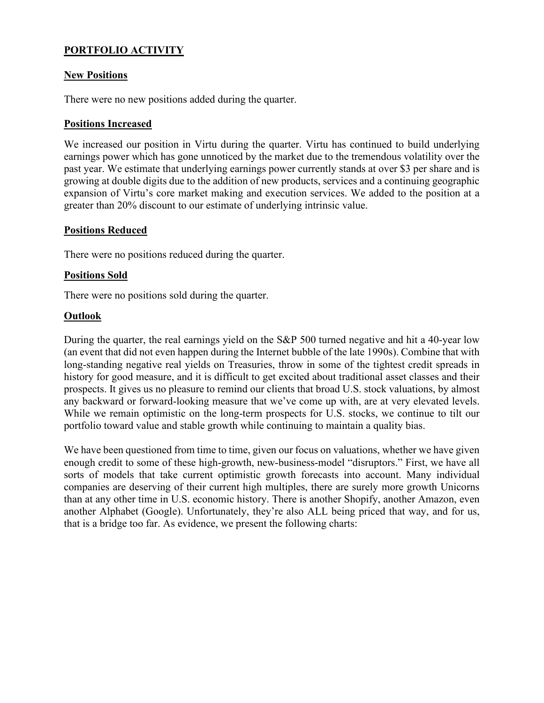# **PORTFOLIO ACTIVITY**

# **New Positions**

There were no new positions added during the quarter.

# **Positions Increased**

We increased our position in Virtu during the quarter. Virtu has continued to build underlying earnings power which has gone unnoticed by the market due to the tremendous volatility over the past year. We estimate that underlying earnings power currently stands at over \$3 per share and is growing at double digits due to the addition of new products, services and a continuing geographic expansion of Virtu's core market making and execution services. We added to the position at a greater than 20% discount to our estimate of underlying intrinsic value.

### **Positions Reduced**

There were no positions reduced during the quarter.

### **Positions Sold**

There were no positions sold during the quarter.

### **Outlook**

During the quarter, the real earnings yield on the S&P 500 turned negative and hit a 40-year low (an event that did not even happen during the Internet bubble of the late 1990s). Combine that with long-standing negative real yields on Treasuries, throw in some of the tightest credit spreads in history for good measure, and it is difficult to get excited about traditional asset classes and their prospects. It gives us no pleasure to remind our clients that broad U.S. stock valuations, by almost any backward or forward-looking measure that we've come up with, are at very elevated levels. While we remain optimistic on the long-term prospects for U.S. stocks, we continue to tilt our portfolio toward value and stable growth while continuing to maintain a quality bias.

We have been questioned from time to time, given our focus on valuations, whether we have given enough credit to some of these high-growth, new-business-model "disruptors." First, we have all sorts of models that take current optimistic growth forecasts into account. Many individual companies are deserving of their current high multiples, there are surely more growth Unicorns than at any other time in U.S. economic history. There is another Shopify, another Amazon, even another Alphabet (Google). Unfortunately, they're also ALL being priced that way, and for us, that is a bridge too far. As evidence, we present the following charts: